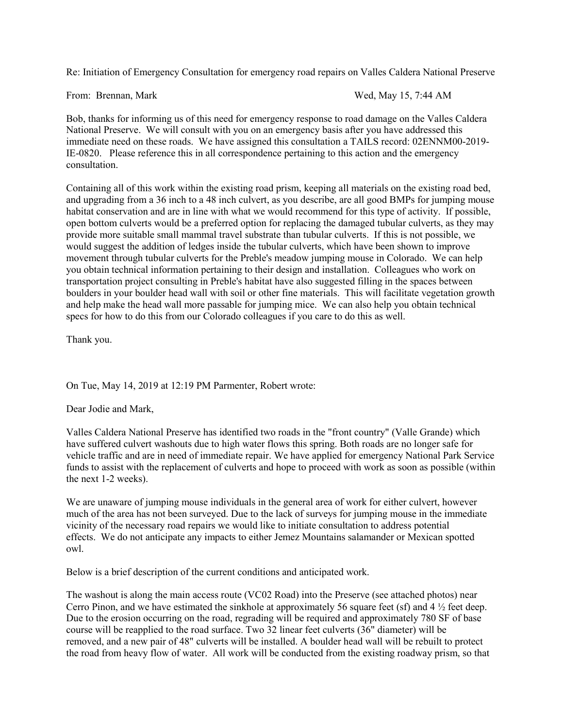Re: Initiation of Emergency Consultation for emergency road repairs on Valles Caldera National Preserve

From: Brennan, Mark Wed, May 15, 7:44 AM

Bob, thanks for informing us of this need for emergency response to road damage on the Valles Caldera National Preserve. We will consult with you on an emergency basis after you have addressed this immediate need on these roads. We have assigned this consultation a TAILS record: 02ENNM00-2019- IE-0820. Please reference this in all correspondence pertaining to this action and the emergency consultation.

Containing all of this work within the existing road prism, keeping all materials on the existing road bed, and upgrading from a 36 inch to a 48 inch culvert, as you describe, are all good BMPs for jumping mouse habitat conservation and are in line with what we would recommend for this type of activity. If possible, open bottom culverts would be a preferred option for replacing the damaged tubular culverts, as they may provide more suitable small mammal travel substrate than tubular culverts. If this is not possible, we would suggest the addition of ledges inside the tubular culverts, which have been shown to improve movement through tubular culverts for the Preble's meadow jumping mouse in Colorado. We can help you obtain technical information pertaining to their design and installation. Colleagues who work on transportation project consulting in Preble's habitat have also suggested filling in the spaces between boulders in your boulder head wall with soil or other fine materials. This will facilitate vegetation growth and help make the head wall more passable for jumping mice. We can also help you obtain technical specs for how to do this from our Colorado colleagues if you care to do this as well.

Thank you.

On Tue, May 14, 2019 at 12:19 PM Parmenter, Robert wrote:

Dear Jodie and Mark,

Valles Caldera National Preserve has identified two roads in the "front country" (Valle Grande) which have suffered culvert washouts due to high water flows this spring. Both roads are no longer safe for vehicle traffic and are in need of immediate repair. We have applied for emergency National Park Service funds to assist with the replacement of culverts and hope to proceed with work as soon as possible (within the next 1-2 weeks).

We are unaware of jumping mouse individuals in the general area of work for either culvert, however much of the area has not been surveyed. Due to the lack of surveys for jumping mouse in the immediate vicinity of the necessary road repairs we would like to initiate consultation to address potential effects. We do not anticipate any impacts to either Jemez Mountains salamander or Mexican spotted owl.

Below is a brief description of the current conditions and anticipated work.

The washout is along the main access route (VC02 Road) into the Preserve (see attached photos) near Cerro Pinon, and we have estimated the sinkhole at approximately 56 square feet (sf) and 4 ½ feet deep. Due to the erosion occurring on the road, regrading will be required and approximately 780 SF of base course will be reapplied to the road surface. Two 32 linear feet culverts (36" diameter) will be removed, and a new pair of 48" culverts will be installed. A boulder head wall will be rebuilt to protect the road from heavy flow of water. All work will be conducted from the existing roadway prism, so that